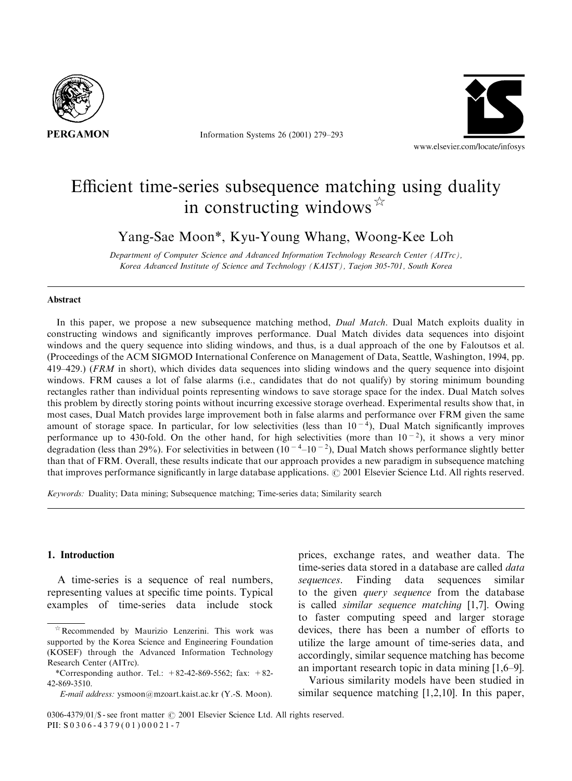

Information Systems 26 (2001) 279–293



# Efficient time-series subsequence matching using duality in constructing windows  $\mathbb{R}$

Yang-Sae Moon\*, Kyu-Young Whang, Woong-Kee Loh

Department of Computer Science and Advanced Information Technology Research Center (AITrc), Korea Advanced Institute of Science and Technology (KAIST), Taejon 305-701, South Korea

#### Abstract

In this paper, we propose a new subsequence matching method, *Dual Match*. Dual Match exploits duality in constructing windows and significantly improves performance. Dual Match divides data sequences into disjoint windows and the query sequence into sliding windows, and thus, is a dual approach of the one by Faloutsos et al. (Proceedings of the ACM SIGMOD International Conference on Management of Data, Seattle, Washington, 1994, pp. 419–429.) (FRM in short), which divides data sequences into slidingwindows and the query sequence into disjoint windows. FRM causes a lot of false alarms (i.e., candidates that do not qualify) by storing minimum bounding rectangles rather than individual points representing windows to save storage space for the index. Dual Match solves this problem by directly storing points without incurring excessive storage overhead. Experimental results show that, in most cases, Dual Match provides large improvement both in false alarms and performance over FRM given the same amount of storage space. In particular, for low selectivities (less than  $10^{-4}$ ), Dual Match significantly improves performance up to 430-fold. On the other hand, for high selectivities (more than  $10^{-2}$ ), it shows a very minor degradation (less than 29%). For selectivities in between  $(10^{-4}-10^{-2})$ , Dual Match shows performance slightly better than that of FRM. Overall, these results indicate that our approach provides a new paradigm in subsequence matching that improves performance significantly in large database applications.  $\odot$  2001 Elsevier Science Ltd. All rights reserved.

Keywords: Duality; Data mining; Subsequence matching; Time-series data; Similarity search

# 1. Introduction

A time-series is a sequence of real numbers, representing values at specific time points. Typical examples of time-series data include stock

prices, exchange rates, and weather data. The time-series data stored in a database are called *data* sequences. Finding data sequences similar to the given query sequence from the database is called similar sequence matching [1,7]. Owing to faster computing speed and larger storage devices, there has been a number of efforts to utilize the large amount of time-series data, and accordingly, similar sequence matching has become an important research topic in data mining[1,6–9].

Various similarity models have been studied in similar sequence matching [1,2,10]. In this paper,

 $*$ Recommended by Maurizio Lenzerini. This work was supported by the Korea Science and Engineering Foundation (KOSEF) through the Advanced Information Technology Research Center (AITrc).

<sup>\*</sup>Corresponding author. Tel.:  $+82-42-869-5562$ ; fax:  $+82-$ 42-869-3510.

E-mail address: ysmoon@mzoart.kaist.ac.kr (Y.-S. Moon).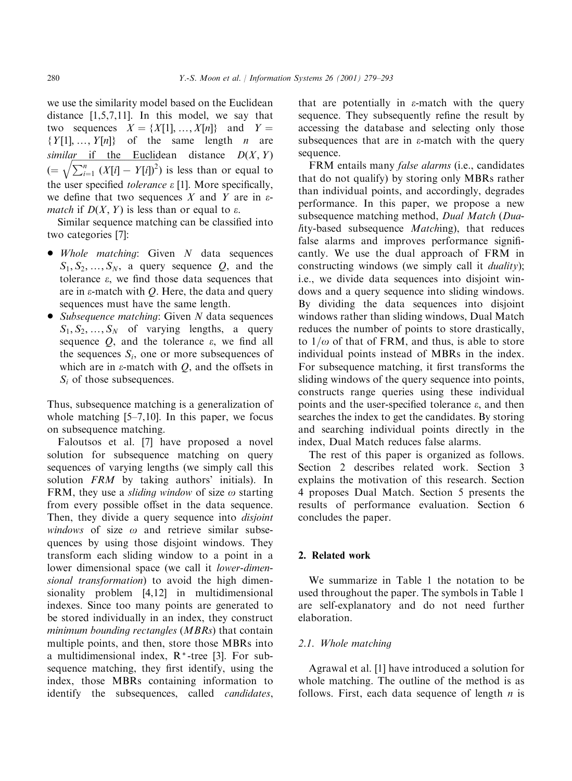we use the similarity model based on the Euclidean distance [1,5,7,11]. In this model, we say that two sequences  $X = \{X[1], ..., X[n]\}$  and  $Y =$  $\{Y[1], ..., Y[n]\}$  of the same length *n* are similar if the Euclidean distance  $D(X, Y)$  $(=\sqrt{\sum_{i=1}^n (X[i] - Y[i])^2})$  is less than or equal to the user specified tolerance  $\varepsilon$  [1]. More specifically, we define that two sequences X and Y are in  $\varepsilon$ *match* if  $D(X, Y)$  is less than or equal to  $\varepsilon$ .

Similar sequence matching can be classified into two categories [7]:

- $\bullet$  Whole matching: Given N data sequences  $S_1, S_2, \ldots, S_N$ , a query sequence Q, and the tolerance  $\varepsilon$ , we find those data sequences that are in  $\varepsilon$ -match with Q. Here, the data and query sequences must have the same length.
- Subsequence matching: Given  $N$  data sequences  $S_1, S_2, ..., S_N$  of varying lengths, a query sequence  $Q$ , and the tolerance  $\varepsilon$ , we find all the sequences  $S_i$ , one or more subsequences of which are in  $\varepsilon$ -match with *O*, and the offsets in  $S_i$  of those subsequences.

Thus, subsequence matching is a generalization of whole matching  $[5-7,10]$ . In this paper, we focus on subsequence matching.

Faloutsos et al. [7] have proposed a novel solution for subsequence matching on query sequences of varying lengths (we simply call this solution  $FRM$  by taking authors' initials). In FRM, they use a *sliding window* of size  $\omega$  starting from every possible offset in the data sequence. Then, they divide a query sequence into *disjoint* windows of size  $\omega$  and retrieve similar subsequences by using those disjoint windows. They transform each sliding window to a point in a lower dimensional space (we call it lower-dimensional transformation) to avoid the high dimensionality problem [4,12] in multidimensional indexes. Since too many points are generated to be stored individually in an index, they construct minimum bounding rectangles (MBRs) that contain multiple points, and then, store those MBRs into a multidimensional index, R\* -tree [3]. For subsequence matching, they first identify, using the index, those MBRs containing information to identify the subsequences, called *candidates*,

that are potentially in  $\varepsilon$ -match with the query sequence. They subsequently refine the result by accessing the database and selecting only those subsequences that are in  $\varepsilon$ -match with the query sequence.

FRM entails many *false alarms* (i.e., candidates that do not qualify) by storing only MBRs rather than individual points, and accordingly, degrades performance. In this paper, we propose a new subsequence matching method, Dual Match (Duality-based subsequence Matching), that reduces false alarms and improves performance significantly. We use the dual approach of FRM in constructing windows (we simply call it *duality*); i.e., we divide data sequences into disjoint windows and a query sequence into sliding windows. By dividing the data sequences into disjoint windows rather than sliding windows, Dual Match reduces the number of points to store drastically, to  $1/\omega$  of that of FRM, and thus, is able to store individual points instead of MBRs in the index. For subsequence matching, it first transforms the sliding windows of the query sequence into points, constructs range queries using these individual points and the user-specified tolerance  $\varepsilon$ , and then searches the index to get the candidates. By storing and searching individual points directly in the index, Dual Match reduces false alarms.

The rest of this paper is organized as follows. Section 2 describes related work. Section 3 explains the motivation of this research. Section 4 proposes Dual Match. Section 5 presents the results of performance evaluation. Section 6 concludes the paper.

# 2. Related work

We summarize in Table 1 the notation to be used throughout the paper. The symbols in Table 1 are self-explanatory and do not need further elaboration.

## 2.1. Whole matching

Agrawal et al. [1] have introduced a solution for whole matching. The outline of the method is as follows. First, each data sequence of length  $n$  is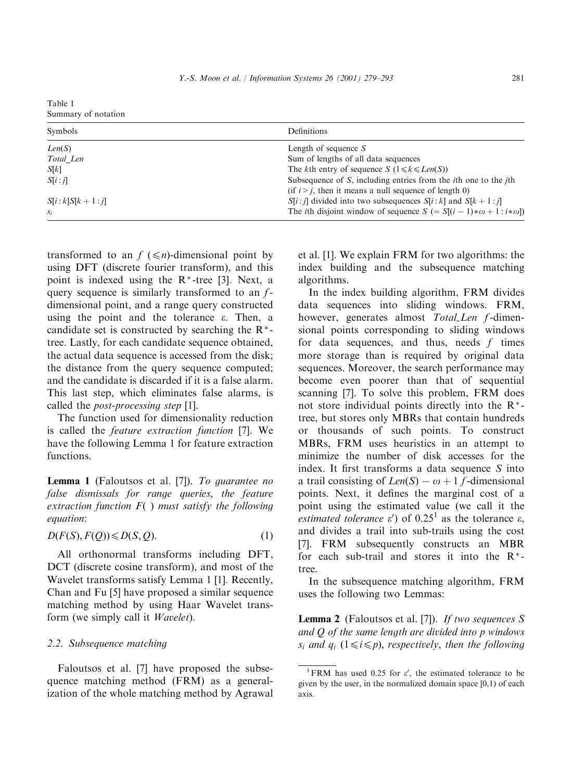| Table 1             |  |
|---------------------|--|
| Summary of notation |  |

| Symbols                | Definitions                                                                        |
|------------------------|------------------------------------------------------------------------------------|
| Len(S)                 | Length of sequence $S$                                                             |
| Total Len              | Sum of lengths of all data sequences                                               |
| S[k]                   | The kth entry of sequence $S(1 \le k \le Len(S))$                                  |
| S[i:i]                 | Subsequence of $S$ , including entries from the <i>i</i> th one to the <i>j</i> th |
|                        | (if $i > j$ , then it means a null sequence of length 0)                           |
| $S[i : k]S[k + 1 : j]$ | $S[i:j]$ divided into two subsequences $S[i:k]$ and $S[k+1:j]$                     |
| $S_i$                  | The <i>i</i> th disjoint window of sequence $S (= S[(i-1)*\omega + 1:i*\omega])$   |

transformed to an  $f \leq n$ -dimensional point by using DFT (discrete fourier transform), and this point is indexed using the  $R^*$ -tree [3]. Next, a query sequence is similarly transformed to an  $f$ dimensional point, and a range query constructed using the point and the tolerance  $\varepsilon$ . Then, a candidate set is constructed by searching the  $R^*$ tree. Lastly, for each candidate sequence obtained, the actual data sequence is accessed from the disk; the distance from the query sequence computed; and the candidate is discarded if it is a false alarm. This last step, which eliminates false alarms, is called the post-processing step [1].

The function used for dimensionality reduction is called the feature extraction function [7]. We have the following Lemma 1 for feature extraction functions.

Lemma 1 (Faloutsos et al. [7]). To guarantee no false dismissals for range queries; the feature extraction function  $F()$  must satisfy the following equation:

$$
D(F(S), F(Q)) \leq D(S, Q). \tag{1}
$$

All orthonormal transforms including DFT, DCT (discrete cosine transform), and most of the Wavelet transforms satisfy Lemma 1 [1]. Recently, Chan and Fu [5] have proposed a similar sequence matching method by using Haar Wavelet transform (we simply call it Wavelet).

## 2.2. Subsequence matching

Faloutsos et al. [7] have proposed the subsequence matching method (FRM) as a generalization of the whole matching method by Agrawal

et al. [1]. We explain FRM for two algorithms: the index building and the subsequence matching algorithms.

In the index buildingalgorithm, FRM divides data sequences into sliding windows. FRM, however, generates almost Total\_Len f-dimensional points corresponding to sliding windows for data sequences, and thus, needs  $f$  times more storage than is required by original data sequences. Moreover, the search performance may become even poorer than that of sequential scanning [7]. To solve this problem, FRM does not store individual points directly into the  $R^*$ tree, but stores only MBRs that contain hundreds or thousands of such points. To construct MBRs, FRM uses heuristics in an attempt to minimize the number of disk accesses for the index. It first transforms a data sequence  $S$  into a trail consisting of  $Len(S) - \omega + 1$  f-dimensional points. Next, it defines the marginal cost of a point using the estimated value (we call it the estimated tolerance  $\varepsilon'$ ) of 0.25<sup>1</sup> as the tolerance  $\varepsilon$ , and divides a trail into sub-trails using the cost [7]. FRM subsequently constructs an MBR for each sub-trail and stores it into the  $R^*$ tree.

In the subsequence matching algorithm, FRM uses the following two Lemmas:

**Lemma 2** (Faloutsos et al. [7]). If two sequences S and Q of the same length are divided into p windows  $s_i$  and  $q_i$   $(1 \leq i \leq p)$ , respectively, then the following

<sup>&</sup>lt;sup>1</sup> FRM has used 0.25 for  $\varepsilon'$ , the estimated tolerance to be given by the user, in the normalized domain space  $[0,1)$  of each axis.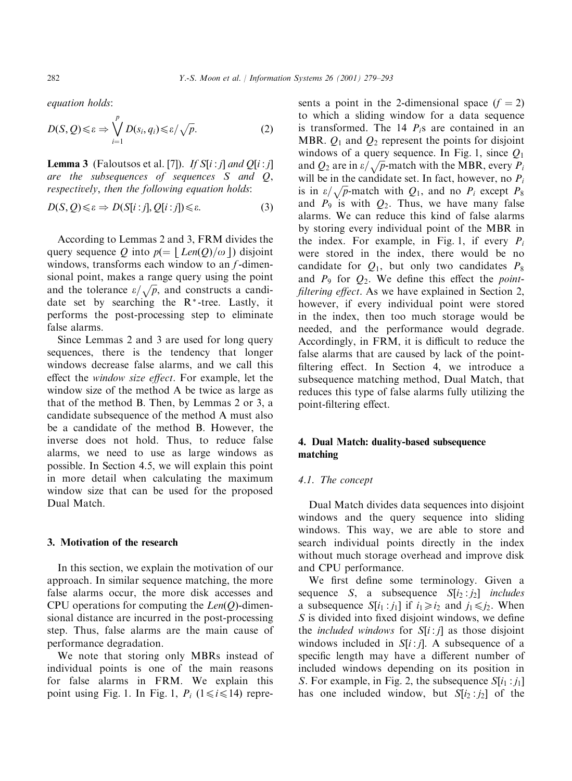equation holds:

$$
D(S, Q) \leq \varepsilon \Rightarrow \bigvee_{i=1}^{p} D(s_i, q_i) \leq \varepsilon / \sqrt{p}.
$$
 (2)

**Lemma 3** (Faloutsos et al. [7]). If  $S[i : j]$  and  $Q[i : j]$ are the subsequences of sequences S and Q, respectively; then the following equation holds:

$$
D(S, Q) \leq \varepsilon \Rightarrow D(S[i:j], Q[i:j]) \leq \varepsilon. \tag{3}
$$

According to Lemmas 2 and 3, FRM divides the query sequence Q into  $p(= | Len(Q)/\omega|)$  disjoint windows, transforms each window to an  $f$ -dimensional point, makes a range query using the point and the tolerance  $\varepsilon/\sqrt{p}$ , and constructs a candidate set by searching the  $R^*$ -tree. Lastly, it performs the post-processing step to eliminate false alarms.

Since Lemmas 2 and 3 are used for long query sequences, there is the tendency that longer windows decrease false alarms, and we call this effect the window size effect. For example, let the window size of the method A be twice as large as that of the method B. Then, by Lemmas 2 or 3, a candidate subsequence of the method A must also be a candidate of the method B. However, the inverse does not hold. Thus, to reduce false alarms, we need to use as large windows as possible. In Section 4.5, we will explain this point in more detail when calculating the maximum window size that can be used for the proposed Dual Match.

#### 3. Motivation of the research

In this section, we explain the motivation of our approach. In similar sequence matching, the more false alarms occur, the more disk accesses and CPU operations for computing the  $Len(Q)$ -dimensional distance are incurred in the post-processing step. Thus, false alarms are the main cause of performance degradation.

We note that storing only MBRs instead of individual points is one of the main reasons for false alarms in FRM. We explain this point using Fig. 1. In Fig. 1,  $P_i$  ( $1 \le i \le 14$ ) represents a point in the 2-dimensional space  $(f = 2)$ to which a sliding window for a data sequence is transformed. The 14  $P_i$ s are contained in an MBR.  $Q_1$  and  $Q_2$  represent the points for disjoint windows of a query sequence. In Fig. 1, since  $Q_1$ and  $Q_2$  are in  $\varepsilon/\sqrt{p}$ -match with the MBR, every  $P_i$ will be in the candidate set. In fact, however, no  $P_i$ is in  $\varepsilon/\sqrt{p}$ -match with  $Q_1$ , and no  $P_i$  except  $P_8$ and  $P_9$  is with  $Q_2$ . Thus, we have many false alarms. We can reduce this kind of false alarms by storing every individual point of the MBR in the index. For example, in Fig. 1, if every  $P_i$ were stored in the index, there would be no candidate for  $Q_1$ , but only two candidates  $P_8$ and  $P_9$  for  $Q_2$ . We define this effect the *point*filtering effect. As we have explained in Section 2, however, if every individual point were stored in the index, then too much storage would be needed, and the performance would degrade. Accordingly, in FRM, it is difficult to reduce the false alarms that are caused by lack of the pointfiltering effect. In Section 4, we introduce a subsequence matching method, Dual Match, that reduces this type of false alarms fully utilizing the point-filtering effect.

### 4. Dual Match: duality-based subsequence matching

# 4.1. The concept

Dual Match divides data sequences into disjoint windows and the query sequence into sliding windows. This way, we are able to store and search individual points directly in the index without much storage overhead and improve disk and CPU performance.

We first define some terminology. Given a sequence S, a subsequence  $S[i_2:j_2]$  *includes* a subsequence  $S[i_1 : j_1]$  if  $i_1 \geq i_2$  and  $j_1 \leq j_2$ . When S is divided into fixed disjoint windows, we define the *included windows* for  $S[i:j]$  as those disjoint windows included in  $S[i:j]$ . A subsequence of a specific length may have a different number of included windows depending on its position in S. For example, in Fig. 2, the subsequence  $S[i_1:j_1]$ has one included window, but  $S[i_2:j_2]$  of the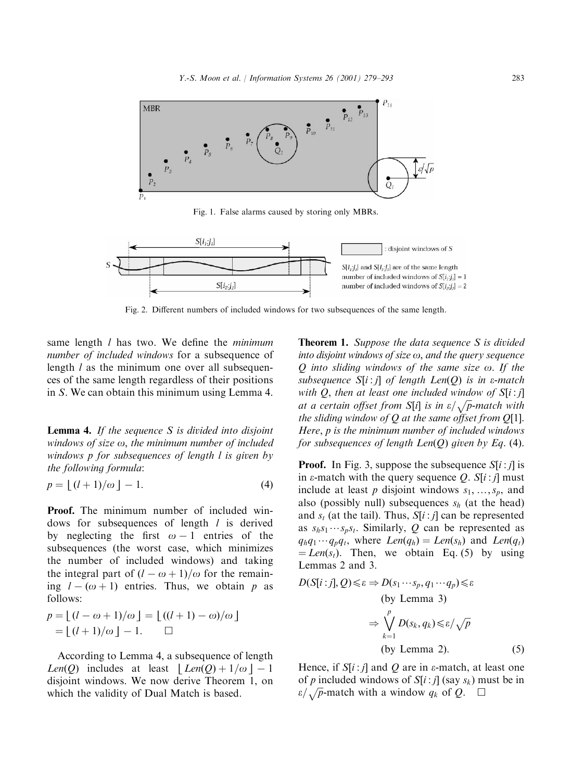

Fig. 1. False alarms caused by storing only MBRs.



Fig. 2. Different numbers of included windows for two subsequences of the same length.

same length  $l$  has two. We define the *minimum* number of included windows for a subsequence of length  $l$  as the minimum one over all subsequences of the same length regardless of their positions in S. We can obtain this minimum usingLemma 4.

**Lemma 4.** If the sequence  $S$  is divided into disjoint windows of size  $\omega$ , the minimum number of included windows p for subsequences of length l is given by the following formula:

$$
p = \lfloor (l+1)/\omega \rfloor - 1. \tag{4}
$$

Proof. The minimum number of included windows for subsequences of length  $l$  is derived by neglecting the first  $\omega-1$  entries of the subsequences (the worst case, which minimizes the number of included windows) and taking the integral part of  $(l - \omega + 1)/\omega$  for the remaining  $l - (\omega + 1)$  entries. Thus, we obtain p as follows:

$$
p = \lfloor (l - \omega + 1)/\omega \rfloor = \lfloor ((l + 1) - \omega)/\omega \rfloor
$$
  
= 
$$
\lfloor (l + 1)/\omega \rfloor - 1.
$$

According to Lemma 4, a subsequence of length Len $(Q)$  includes at least  $|Len(Q)+1/\omega|-1$ disjoint windows. We now derive Theorem 1, on which the validity of Dual Match is based.

**Theorem 1.** Suppose the data sequence S is divided into disjoint windows of size  $\omega$ , and the query sequence  $Q$  into sliding windows of the same size  $\omega$ . If the subsequence  $S[i:j]$  of length  $Len(Q)$  is in e-match with Q, then at least one included window of  $S[i:j]$ at a certain offset from S[i] is in  $\varepsilon/\sqrt{p}$ -match with the sliding window of  $Q$  at the same offset from  $Q[1]$ . Here; p is the minimum number of included windows for subsequences of length  $Len(Q)$  given by Eq. (4).

**Proof.** In Fig. 3, suppose the subsequence  $S[i:j]$  is in  $\varepsilon$ -match with the query sequence Q. S[i : j] must include at least p disjoint windows  $s_1, \ldots, s_p$ , and also (possibly null) subsequences  $s_h$  (at the head) and  $s_t$  (at the tail). Thus,  $S[i:j]$  can be represented as  $s_h s_1 \cdots s_p s_t$ . Similarly, Q can be represented as  $q_hq_1\cdots q_pq_t$ , where  $Len(q_h) = Len(s_h)$  and  $Len(q_t)$  $=Len(s<sub>t</sub>)$ . Then, we obtain Eq. (5) by using Lemmas 2 and 3.

$$
D(S[i:j], Q) \le \varepsilon \Rightarrow D(s_1 \cdots s_p, q_1 \cdots q_p) \le \varepsilon
$$
  
(by Lemma 3)  

$$
\Rightarrow \bigvee_{k=1}^p D(s_k, q_k) \le \varepsilon/\sqrt{p}
$$
  
(by Lemma 2). (5)

Hence, if  $S[i : j]$  and Q are in  $\varepsilon$ -match, at least one of p included windows of  $S[i:j]$  (say  $s_k$ ) must be in  $\varepsilon/\sqrt{p}$ -match with a window  $q_k$  of Q.  $\Box$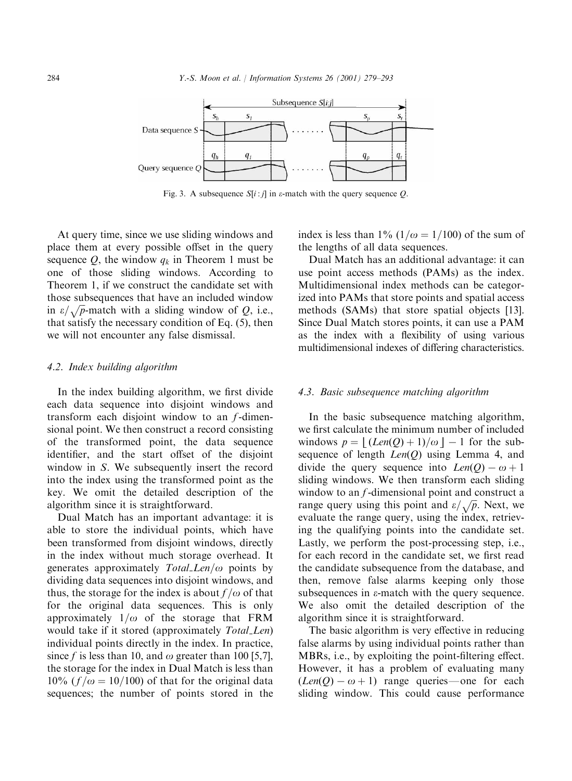

Fig. 3. A subsequence  $S[i:j]$  in  $\varepsilon$ -match with the query sequence Q.

At query time, since we use sliding windows and place them at every possible offset in the query sequence  $Q$ , the window  $q_k$  in Theorem 1 must be one of those sliding windows. According to Theorem 1, if we construct the candidate set with those subsequences that have an included window in  $\varepsilon/\sqrt{p}$ -match with a sliding window of Q, i.e., that satisfy the necessary condition of Eq. (5), then we will not encounter any false dismissal.

#### 4.2. Index building algorithm

In the index buildingalgorithm, we first divide each data sequence into disjoint windows and transform each disjoint window to an  $f$ -dimensional point. We then construct a record consisting of the transformed point, the data sequence identifier, and the start offset of the disjoint window in S. We subsequently insert the record into the index using the transformed point as the key. We omit the detailed description of the algorithm since it is straightforward.

Dual Match has an important advantage: it is able to store the individual points, which have been transformed from disjoint windows, directly in the index without much storage overhead. It generates approximately  $TotalLen/\omega$  points by dividing data sequences into disjoint windows, and thus, the storage for the index is about  $f/\omega$  of that for the original data sequences. This is only approximately  $1/\omega$  of the storage that FRM would take if it stored (approximately *Total\_Len*) individual points directly in the index. In practice, since f is less than 10, and  $\omega$  greater than 100 [5,7], the storage for the index in Dual Match is less than  $10\%$  ( $f/\omega = 10/100$ ) of that for the original data sequences; the number of points stored in the

index is less than 1%  $(1/\omega = 1/100)$  of the sum of the lengths of all data sequences.

Dual Match has an additional advantage: it can use point access methods (PAMs) as the index. Multidimensional index methods can be categorized into PAMs that store points and spatial access methods (SAMs) that store spatial objects [13]. Since Dual Match stores points, it can use a PAM as the index with a flexibility of using various multidimensional indexes of differing characteristics.

#### 4.3. Basic subsequence matching algorithm

In the basic subsequence matching algorithm, we first calculate the minimum number of included windows  $p = | (Len(Q) + 1)/\omega | - 1$  for the subsequence of length  $Len(Q)$  using Lemma 4, and divide the query sequence into  $Len(Q) - \omega + 1$ sliding windows. We then transform each sliding window to an *f*-dimensional point and construct a range query using this point and  $\varepsilon/\sqrt{p}$ . Next, we evaluate the range query, using the index, retrieving the qualifying points into the candidate set. Lastly, we perform the post-processing step, i.e., for each record in the candidate set, we first read the candidate subsequence from the database, and then, remove false alarms keeping only those subsequences in  $\varepsilon$ -match with the query sequence. We also omit the detailed description of the algorithm since it is straightforward.

The basic algorithm is very effective in reducing false alarms by using individual points rather than MBRs, i.e., by exploiting the point-filtering effect. However, it has a problem of evaluating many  $(Len(Q) - \omega + 1)$  range queries—one for each sliding window. This could cause performance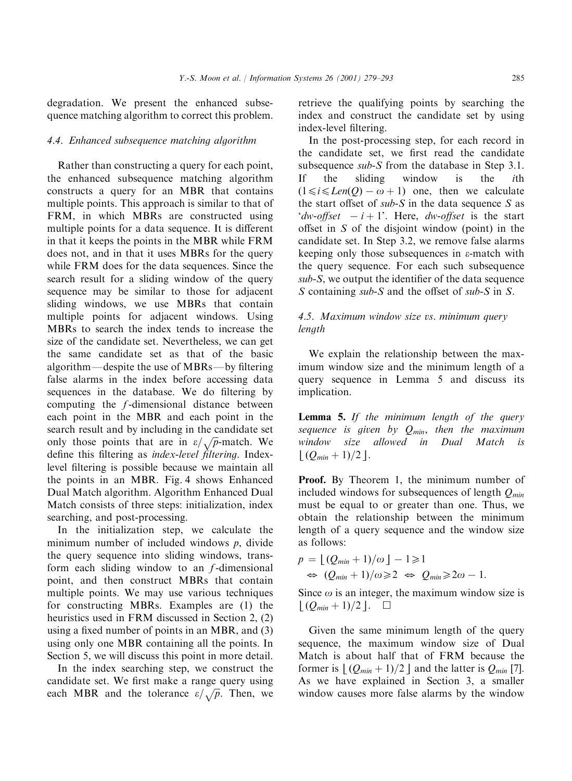degradation. We present the enhanced subsequence matchingalgorithm to correct this problem.

#### 4.4. Enhanced subsequence matching algorithm

Rather than constructinga query for each point, the enhanced subsequence matching algorithm constructs a query for an MBR that contains multiple points. This approach is similar to that of FRM, in which MBRs are constructed using multiple points for a data sequence. It is different in that it keeps the points in the MBR while FRM does not, and in that it uses MBRs for the query while FRM does for the data sequences. Since the search result for a sliding window of the query sequence may be similar to those for adjacent sliding windows, we use MBRs that contain multiple points for adjacent windows. Using MBRs to search the index tends to increase the size of the candidate set. Nevertheless, we can get the same candidate set as that of the basic algorithm—despite the use of MBRs—by filtering false alarms in the index before accessing data sequences in the database. We do filtering by computing the  $f$ -dimensional distance between each point in the MBR and each point in the search result and by including in the candidate set only those points that are in  $\varepsilon/\sqrt{p}$ -match. We define this filtering as *index-level filtering*. Indexlevel filtering is possible because we maintain all the points in an MBR. Fig. 4 shows Enhanced Dual Match algorithm. Algorithm Enhanced Dual Match consists of three steps: initialization, index searching, and post-processing.

In the initialization step, we calculate the minimum number of included windows  $p$ , divide the query sequence into sliding windows, transform each sliding window to an  $f$ -dimensional point, and then construct MBRs that contain multiple points. We may use various techniques for constructing MBRs. Examples are (1) the heuristics used in FRM discussed in Section 2, (2) usinga fixed number of points in an MBR, and (3) using only one MBR containing all the points. In Section 5, we will discuss this point in more detail.

In the index searching step, we construct the candidate set. We first make a range query using each MBR and the tolerance  $\varepsilon/\sqrt{p}$ . Then, we

retrieve the qualifying points by searching the index and construct the candidate set by using index-level filtering.

In the post-processing step, for each record in the candidate set, we first read the candidate subsequence sub-S from the database in Step 3.1. If the sliding window is the *i*th  $(1 \le i \le Len(O) - \omega + 1)$  one, then we calculate the start offset of  $sub-S$  in the data sequence S as 'dw-offset  $-i+1$ '. Here, dw-offset is the start offset in S of the disjoint window (point) in the candidate set. In Step 3.2, we remove false alarms keeping only those subsequences in  $\varepsilon$ -match with the query sequence. For each such subsequence sub-S, we output the identifier of the data sequence S containing *sub-S* and the offset of *sub-S* in S.

# 4.5. Maximum window size vs. minimum query length

We explain the relationship between the maximum window size and the minimum length of a query sequence in Lemma 5 and discuss its implication.

**Lemma 5.** If the minimum length of the query sequence is given by  $Q_{min}$ , then the maximum window size allowed in Dual Match is  $| (Q_{min} + 1)/2 |$ .

Proof. By Theorem 1, the minimum number of included windows for subsequences of length  $O_{min}$ must be equal to or greater than one. Thus, we obtain the relationship between the minimum length of a query sequence and the window size as follows:

$$
p = \lfloor (Q_{min} + 1)/\omega \rfloor - 1 \geq 1
$$
  
\n
$$
\Leftrightarrow (Q_{min} + 1)/\omega \geq 2 \Leftrightarrow Q_{min} \geq 2\omega - 1.
$$

Since  $\omega$  is an integer, the maximum window size is  $\lfloor (Q_{min}+1)/2 \rfloor. \quad \square$ 

Given the same minimum length of the query sequence, the maximum window size of Dual Match is about half that of FRM because the former is  $\lfloor (Q_{min} + 1)/2 \rfloor$  and the latter is  $Q_{min}$  [7]. As we have explained in Section 3, a smaller window causes more false alarms by the window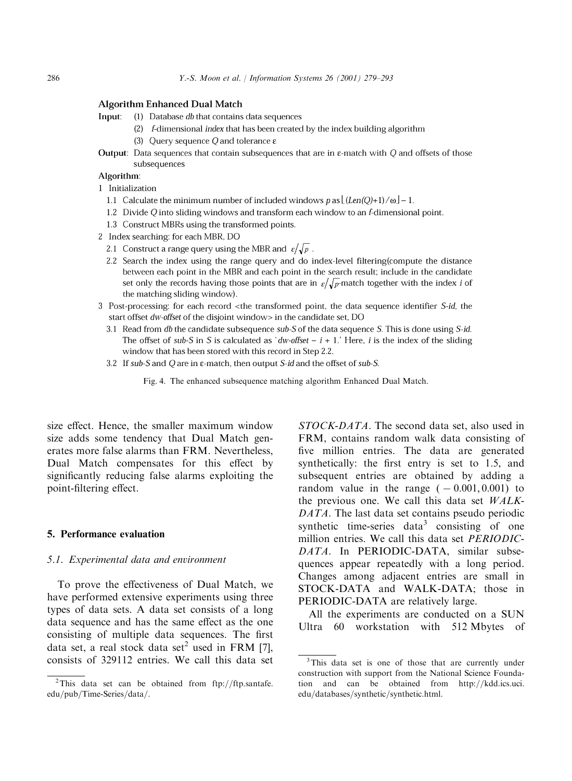#### **Algorithm Enhanced Dual Match**

- Input: (1) Database db that contains data sequences
	- (2) f-dimensional index that has been created by the index building algorithm
	- (3) Query sequence Q and tolerance  $\varepsilon$
- **Output:** Data sequences that contain subsequences that are in  $\varepsilon$ -match with Q and offsets of those subsequences

#### Algorithm:

- 1 Initialization
	- 1.1 Calculate the minimum number of included windows  $p$  as  $\lfloor (Len(Q)+1)/\omega \rfloor 1$ .
	- 1.2 Divide Q into sliding windows and transform each window to an f-dimensional point.
	- 1.3 Construct MBRs using the transformed points.
- 2 Index searching: for each MBR, DO
	- 2.1 Construct a range query using the MBR and  $\varepsilon/\sqrt{p}$ .
	- 2.2 Search the index using the range query and do index-level filtering(compute the distance between each point in the MBR and each point in the search result; include in the candidate set only the records having those points that are in  $\varepsilon/\sqrt{p}$  match together with the index *i* of the matching sliding window).
- 3 Post-processing: for each record <the transformed point, the data sequence identifier S-id, the start offset dw-offset of the disjoint window> in the candidate set, DO
	- 3.1 Read from db the candidate subsequence sub-S of the data sequence S. This is done using S-id. The offset of sub-S in S is calculated as 'dw-offset –  $i + 1$ .' Here, i is the index of the sliding window that has been stored with this record in Step 2.2.
	- 3.2 If sub-S and Q are in  $\varepsilon$ -match, then output S-id and the offset of sub-S.

Fig. 4. The enhanced subsequence matching algorithm Enhanced Dual Match.

size effect. Hence, the smaller maximum window size adds some tendency that Dual Match generates more false alarms than FRM. Nevertheless, Dual Match compensates for this effect by significantly reducing false alarms exploiting the point-filtering effect.

#### 5. Performance evaluation

#### 5.1. Experimental data and environment

To prove the effectiveness of Dual Match, we have performed extensive experiments using three types of data sets. A data set consists of a long data sequence and has the same effect as the one consisting of multiple data sequences. The first data set, a real stock data set<sup>2</sup> used in FRM [7], consists of 329112 entries. We call this data set

STOCK-DATA. The second data set, also used in FRM, contains random walk data consisting of five million entries. The data are generated synthetically: the first entry is set to 1:5, and subsequent entries are obtained by adding a random value in the range  $(-0.001, 0.001)$  to the previous one. We call this data set WALK-DATA. The last data set contains pseudo periodic synthetic time-series data<sup>3</sup> consisting of one million entries. We call this data set PERIODIC-DATA. In PERIODIC-DATA, similar subsequences appear repeatedly with a long period. Changes among adjacent entries are small in STOCK-DATA and WALK-DATA; those in PERIODIC-DATA are relatively large.

All the experiments are conducted on a SUN Ultra 60 workstation with 512 Mbytes of

<sup>&</sup>lt;sup>2</sup>This data set can be obtained from ftp://ftp.santafe. edu/pub/Time-Series/data/.

<sup>3</sup>This data set is one of those that are currently under construction with support from the National Science Foundation and can be obtained from  $http://kdd.ics.uci.$ edu/databases/synthetic/synthetic.html.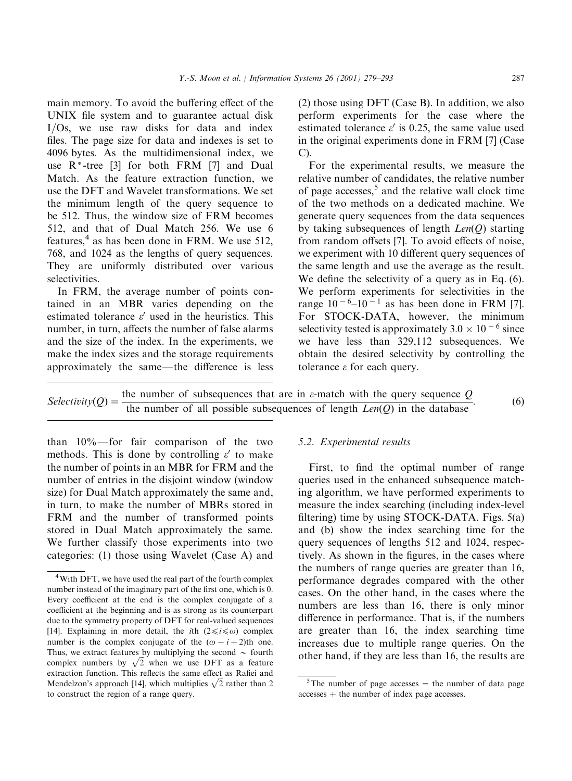main memory. To avoid the buffering effect of the UNIX file system and to guarantee actual disk I/Os, we use raw disks for data and index files. The page size for data and indexes is set to 4096 bytes. As the multidimensional index, we use R\* -tree [3] for both FRM [7] and Dual Match. As the feature extraction function, we use the DFT and Wavelet transformations. We set the minimum length of the query sequence to be 512. Thus, the window size of FRM becomes 512, and that of Dual Match 256. We use 6 features,<sup>4</sup> as has been done in FRM. We use 512, 768, and 1024 as the lengths of query sequences. They are uniformly distributed over various selectivities.

In FRM, the average number of points contained in an MBR varies depending on the estimated tolerance  $\varepsilon'$  used in the heuristics. This number, in turn, affects the number of false alarms and the size of the index. In the experiments, we make the index sizes and the storage requirements approximately the same—the difference is less (2) those usingDFT (Case B). In addition, we also perform experiments for the case where the estimated tolerance  $\varepsilon'$  is 0.25, the same value used in the original experiments done in FRM [7] (Case C).

For the experimental results, we measure the relative number of candidates, the relative number of page accesses, $5$  and the relative wall clock time of the two methods on a dedicated machine. We generate query sequences from the data sequences by taking subsequences of length  $Len(O)$  starting from random offsets [7]. To avoid effects of noise, we experiment with 10 different query sequences of the same length and use the average as the result. We define the selectivity of a query as in Eq. (6). We perform experiments for selectivities in the range  $10^{-6}$ – $10^{-1}$  as has been done in FRM [7]. For STOCK-DATA, however, the minimum selectivity tested is approximately  $3.0 \times 10^{-6}$  since we have less than 329,112 subsequences. We obtain the desired selectivity by controlling the tolerance e for each query.

Selectivity $Q$  = the number of subsequences that are in  $\varepsilon$ -match with the query sequence  $Q$  the number of all possible subsequences of length  $Len(Q)$  in the database  $\blacksquare$  (6)

than  $10\%$ —for fair comparison of the two methods. This is done by controlling  $\varepsilon'$  to make the number of points in an MBR for FRM and the number of entries in the disjoint window (window size) for Dual Match approximately the same and, in turn, to make the number of MBRs stored in FRM and the number of transformed points stored in Dual Match approximately the same. We further classify those experiments into two categories: (1) those using Wavelet (Case A) and

## 5.2. Experimental results

First, to find the optimal number of range queries used in the enhanced subsequence matchingalgorithm, we have performed experiments to measure the index searching (including index-level filtering) time by using STOCK-DATA. Figs. 5(a) and (b) show the index searching time for the query sequences of lengths 512 and 1024, respectively. As shown in the figures, in the cases where the numbers of range queries are greater than 16, performance degrades compared with the other cases. On the other hand, in the cases where the numbers are less than 16, there is only minor difference in performance. That is, if the numbers are greater than 16, the index searching time increases due to multiple range queries. On the other hand, if they are less than 16, the results are

<sup>&</sup>lt;sup>4</sup>With DFT, we have used the real part of the fourth complex number instead of the imaginary part of the first one, which is 0. Every coefficient at the end is the complex conjugate of a coefficient at the beginning and is as strong as its counterpart due to the symmetry property of DFT for real-valued sequences [14]. Explaining in more detail, the *i*th  $(2 \le i \le \omega)$  complex number is the complex conjugate of the  $(\omega - i + 2)$ th one. Thus, we extract features by multiplying the second  $\sim$  fourth complex numbers by  $\sqrt{2}$  when we use DFT as a feature extraction function. This reflects the same effect as Rafiei and Mendelzon's approach [14], which multiplies  $\sqrt{2}$  rather than 2 to construct the region of a range query.

<sup>&</sup>lt;sup>5</sup>The number of page accesses  $=$  the number of data page  $accesses + the number of index page accesses$ .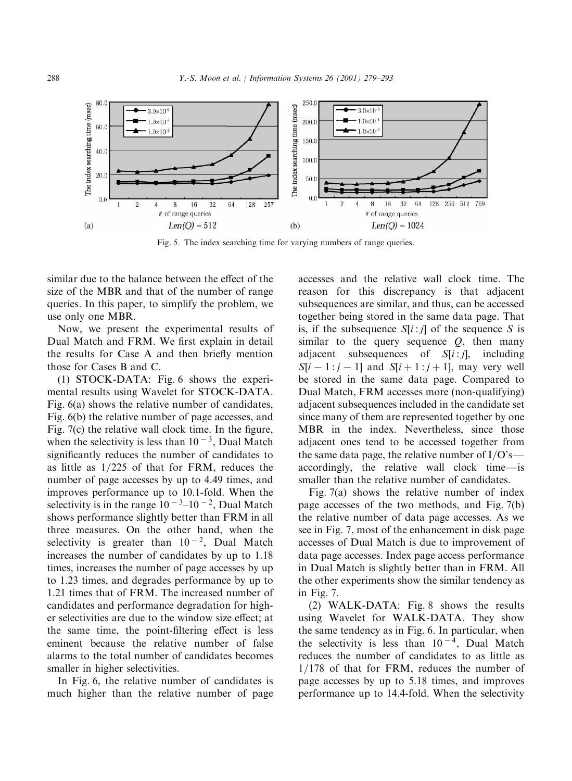

Fig. 5. The index searching time for varying numbers of range queries.

similar due to the balance between the effect of the size of the MBR and that of the number of range queries. In this paper, to simplify the problem, we use only one MBR.

Now, we present the experimental results of Dual Match and FRM. We first explain in detail the results for Case A and then briefly mention those for Cases B and C.

(1) STOCK-DATA: Fig. 6 shows the experimental results using Wavelet for STOCK-DATA. Fig. 6(a) shows the relative number of candidates, Fig. 6(b) the relative number of page accesses, and Fig. 7(c) the relative wall clock time. In the figure, when the selectivity is less than  $10^{-3}$ , Dual Match significantly reduces the number of candidates to as little as  $1/225$  of that for FRM, reduces the number of page accesses by up to 4.49 times, and improves performance up to 10.1-fold. When the selectivity is in the range  $10^{-3}$ – $10^{-2}$ , Dual Match shows performance slightly better than FRM in all three measures. On the other hand, when the selectivity is greater than  $10^{-2}$ , Dual Match increases the number of candidates by up to 1.18 times, increases the number of page accesses by up to 1.23 times, and degrades performance by up to 1.21 times that of FRM. The increased number of candidates and performance degradation for higher selectivities are due to the window size effect; at the same time, the point-filtering effect is less eminent because the relative number of false alarms to the total number of candidates becomes smaller in higher selectivities.

In Fig. 6, the relative number of candidates is much higher than the relative number of page

accesses and the relative wall clock time. The reason for this discrepancy is that adjacent subsequences are similar, and thus, can be accessed together being stored in the same data page. That is, if the subsequence  $S[i:j]$  of the sequence S is similar to the query sequence  $Q$ , then many adjacent subsequences of  $S[i:j]$ , including  $S[i - 1 : j - 1]$  and  $S[i + 1 : j + 1]$ , may very well be stored in the same data page. Compared to Dual Match, FRM accesses more (non-qualifying) adjacent subsequences included in the candidate set since many of them are represented together by one MBR in the index. Nevertheless, since those adjacent ones tend to be accessed together from the same data page, the relative number of  $I/O's$  accordingly, the relative wall clock time-is smaller than the relative number of candidates.

Fig. 7(a) shows the relative number of index page accesses of the two methods, and Fig. 7(b) the relative number of data page accesses. As we see in Fig. 7, most of the enhancement in disk page accesses of Dual Match is due to improvement of data page accesses. Index page access performance in Dual Match is slightly better than in FRM. All the other experiments show the similar tendency as in Fig. 7.

(2) WALK-DATA: Fig. 8 shows the results using Wavelet for WALK-DATA. They show the same tendency as in Fig. 6. In particular, when the selectivity is less than  $10^{-4}$ , Dual Match reduces the number of candidates to as little as  $1/178$  of that for FRM, reduces the number of page accesses by up to 5.18 times, and improves performance up to 14.4-fold. When the selectivity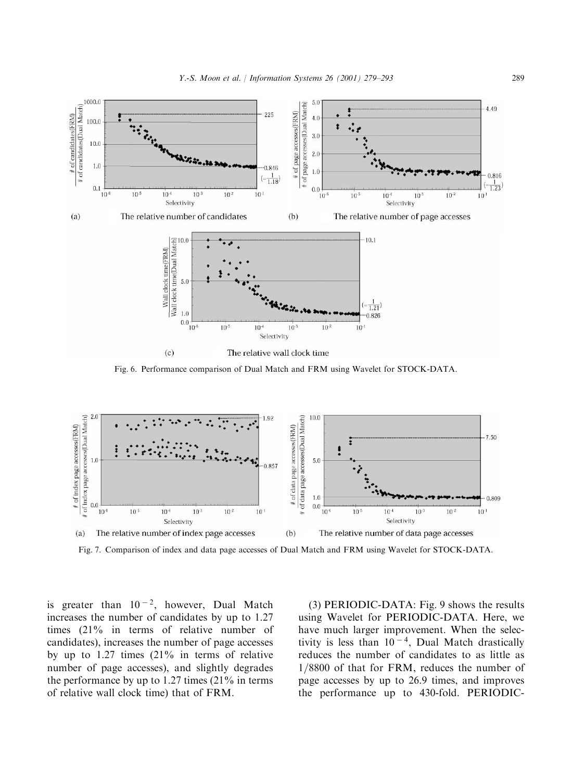

Fig. 6. Performance comparison of Dual Match and FRM using Wavelet for STOCK-DATA.



Fig. 7. Comparison of index and data page accesses of Dual Match and FRM using Wavelet for STOCK-DATA.

is greater than  $10^{-2}$ , however, Dual Match increases the number of candidates by up to 1.27 times (21% in terms of relative number of candidates), increases the number of page accesses by up to 1.27 times (21% in terms of relative number of page accesses), and slightly degrades the performance by up to 1.27 times (21% in terms of relative wall clock time) that of FRM.

(3) PERIODIC-DATA: Fig. 9 shows the results using Wavelet for PERIODIC-DATA. Here, we have much larger improvement. When the selectivity is less than  $10^{-4}$ , Dual Match drastically reduces the number of candidates to as little as  $1/8800$  of that for FRM, reduces the number of page accesses by up to 26.9 times, and improves the performance up to 430-fold. PERIODIC-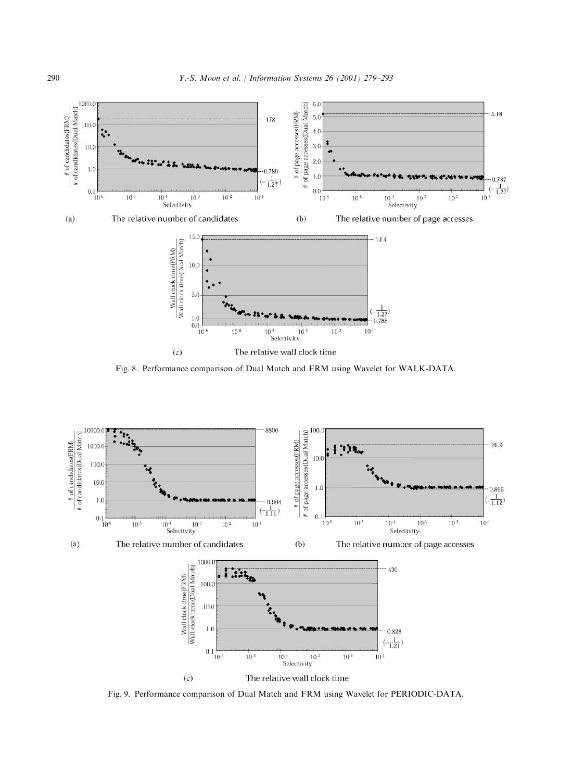

Fig. 8. Performance comparison of Dual Match and FRM using Wavelet for WALK-DATA.



Fig. 9. Performance comparison of Dual Match and FRM using Wavelet for PERIODIC-DATA.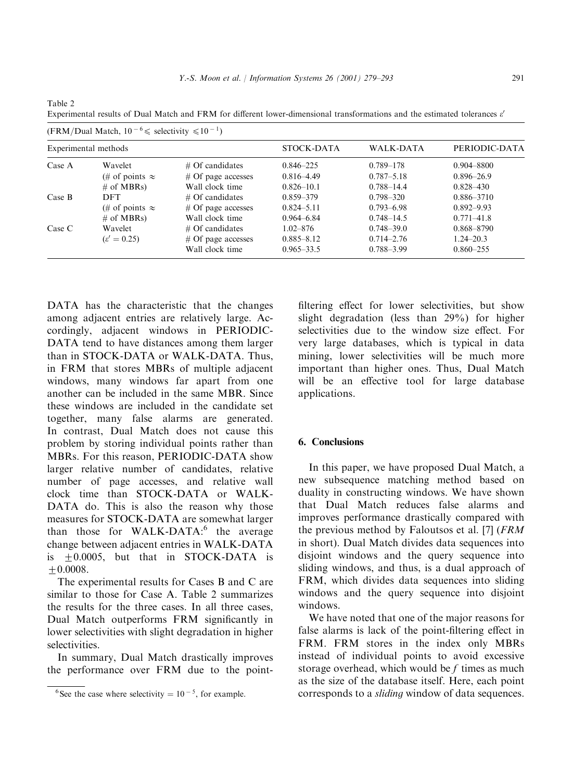| (FRM/Dual Match, $10^{-6} \le$ selectivity $\le 10^{-1}$ ) |                        |                       |                   |                  |                |  |  |
|------------------------------------------------------------|------------------------|-----------------------|-------------------|------------------|----------------|--|--|
| Experimental methods                                       |                        |                       | <b>STOCK-DATA</b> | <b>WALK-DATA</b> | PERIODIC-DATA  |  |  |
| Case A                                                     | Wavelet                | $#$ Of candidates     | $0.846 - 225$     | 0.789-178        | $0.904 - 8800$ |  |  |
|                                                            | (# of points $\approx$ | $\#$ Of page accesses | $0.816 - 4.49$    | $0.787 - 5.18$   | $0.896 - 26.9$ |  |  |
|                                                            | $\#$ of MBRs)          | Wall clock time       | $0.826 - 10.1$    | $0.788 - 14.4$   | $0.828 - 430$  |  |  |
| Case B                                                     | <b>DFT</b>             | $\#$ Of candidates    | 0.859-379         | $0.798 - 320$    | 0.886-3710     |  |  |
|                                                            | (# of points $\approx$ | $\#$ Of page accesses | $0.824 - 5.11$    | $0.793 - 6.98$   | $0.892 - 9.93$ |  |  |
|                                                            | $\#$ of MBRs)          | Wall clock time       | $0.964 - 6.84$    | $0.748 - 14.5$   | $0.771 - 41.8$ |  |  |
| Case C                                                     | Wavelet                | $\#$ Of candidates    | $1.02 - 876$      | $0.748 - 39.0$   | 0.868-8790     |  |  |
|                                                            | $\epsilon' = 0.25$     | $\#$ Of page accesses | $0.885 - 8.12$    | $0.714 - 2.76$   | $1.24 - 20.3$  |  |  |
|                                                            |                        | Wall clock time       | $0.965 - 33.5$    | $0.788 - 3.99$   | $0.860 - 255$  |  |  |

Experimental results of Dual Match and FRM for different lower-dimensional transformations and the estimated tolerances  $\varepsilon'$ 

DATA has the characteristic that the changes amongadjacent entries are relatively large. Accordingly, adjacent windows in PERIODIC-DATA tend to have distances among them larger than in STOCK-DATA or WALK-DATA. Thus, in FRM that stores MBRs of multiple adjacent windows, many windows far apart from one another can be included in the same MBR. Since these windows are included in the candidate set together, many false alarms are generated. In contrast, Dual Match does not cause this problem by storing individual points rather than MBRs. For this reason, PERIODIC-DATA show larger relative number of candidates, relative number of page accesses, and relative wall clock time than STOCK-DATA or WALK-DATA do. This is also the reason why those measures for STOCK-DATA are somewhat larger than those for  $WALK-DATA$ : the average change between adjacent entries in WALK-DATA is  $+0.0005$ , but that in STOCK-DATA is  $+0.0008.$ 

Table 2

The experimental results for Cases B and C are similar to those for Case A. Table 2 summarizes the results for the three cases. In all three cases, Dual Match outperforms FRM significantly in lower selectivities with slight degradation in higher selectivities.

In summary, Dual Match drastically improves the performance over FRM due to the point-

filtering effect for lower selectivities, but show slight degradation (less than 29%) for higher selectivities due to the window size effect. For very large databases, which is typical in data mining, lower selectivities will be much more important than higher ones. Thus, Dual Match will be an effective tool for large database applications.

# 6. Conclusions

In this paper, we have proposed Dual Match, a new subsequence matching method based on duality in constructing windows. We have shown that Dual Match reduces false alarms and improves performance drastically compared with the previous method by Faloutsos et al. [7] (FRM in short). Dual Match divides data sequences into disjoint windows and the query sequence into sliding windows, and thus, is a dual approach of FRM, which divides data sequences into sliding windows and the query sequence into disjoint windows.

We have noted that one of the major reasons for false alarms is lack of the point-filtering effect in FRM. FRM stores in the index only MBRs instead of individual points to avoid excessive storage overhead, which would be f times as much as the size of the database itself. Here, each point corresponds to a sliding window of data sequences.

<sup>&</sup>lt;sup>6</sup>See the case where selectivity =  $10^{-5}$ , for example.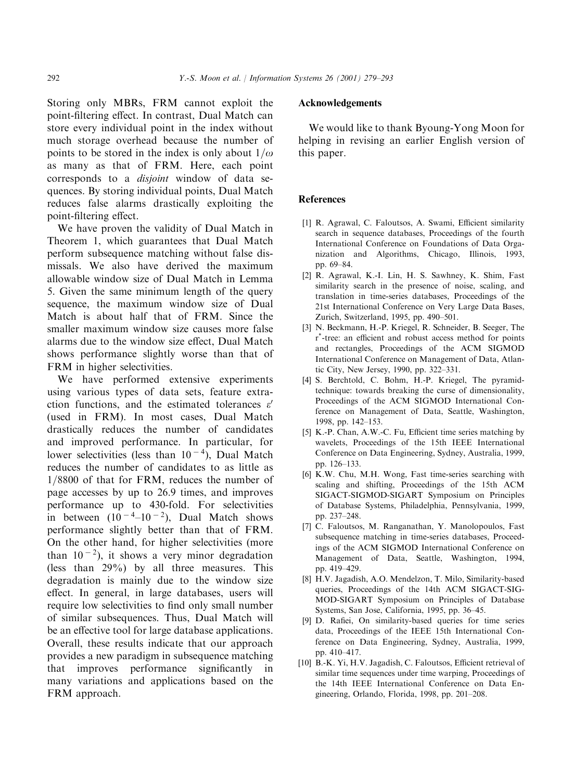Storing only MBRs, FRM cannot exploit the point-filteringeffect. In contrast, Dual Match can store every individual point in the index without much storage overhead because the number of points to be stored in the index is only about  $1/\omega$ as many as that of FRM. Here, each point corresponds to a disjoint window of data sequences. By storing individual points, Dual Match reduces false alarms drastically exploiting the point-filtering effect.

We have proven the validity of Dual Match in Theorem 1, which guarantees that Dual Match perform subsequence matching without false dismissals. We also have derived the maximum allowable window size of Dual Match in Lemma 5. Given the same minimum length of the query sequence, the maximum window size of Dual Match is about half that of FRM. Since the smaller maximum window size causes more false alarms due to the window size effect, Dual Match shows performance slightly worse than that of FRM in higher selectivities.

We have performed extensive experiments using various types of data sets, feature extraction functions, and the estimated tolerances  $\varepsilon'$ (used in FRM). In most cases, Dual Match drastically reduces the number of candidates and improved performance. In particular, for lower selectivities (less than  $10^{-4}$ ), Dual Match reduces the number of candidates to as little as 1/8800 of that for FRM, reduces the number of page accesses by up to 26.9 times, and improves performance up to 430-fold. For selectivities in between  $(10^{-4}-10^{-2})$ , Dual Match shows performance slightly better than that of FRM. On the other hand, for higher selectivities (more than  $10^{-2}$ ), it shows a very minor degradation (less than 29%) by all three measures. This degradation is mainly due to the window size effect. In general, in large databases, users will require low selectivities to find only small number of similar subsequences. Thus, Dual Match will be an effective tool for large database applications. Overall, these results indicate that our approach provides a new paradigm in subsequence matching that improves performance significantly in many variations and applications based on the FRM approach.

#### Acknowledgements

We would like to thank Byoung-Yong Moon for helping in revising an earlier English version of this paper.

#### **References**

- [1] R. Agrawal, C. Faloutsos, A. Swami, Efficient similarity search in sequence databases, Proceedings of the fourth International Conference on Foundations of Data Organization and Algorithms, Chicago, Illinois, 1993, pp. 69–84.
- [2] R. Agrawal, K.-I. Lin, H. S. Sawhney, K. Shim, Fast similarity search in the presence of noise, scaling, and translation in time-series databases, Proceedings of the 21st International Conference on Very Large Data Bases, Zurich, Switzerland, 1995, pp. 490–501.
- [3] N. Beckmann, H.-P. Kriegel, R. Schneider, B. Seeger, The  $r^*$ -tree: an efficient and robust access method for points and rectangles, Proceedings of the ACM SIGMOD International Conference on Management of Data, Atlantic City, New Jersey, 1990, pp. 322–331.
- [4] S. Berchtold, C. Bohm, H.-P. Kriegel, The pyramidtechnique: towards breaking the curse of dimensionality, Proceedings of the ACM SIGMOD International Conference on Management of Data, Seattle, Washington, 1998, pp. 142–153.
- [5] K.-P. Chan, A.W.-C. Fu, Efficient time series matching by wavelets, Proceedings of the 15th IEEE International Conference on Data Engineering, Sydney, Australia, 1999, pp. 126–133.
- [6] K.W. Chu, M.H. Wong, Fast time-series searching with scaling and shifting, Proceedings of the 15th ACM SIGACT-SIGMOD-SIGART Symposium on Principles of Database Systems, Philadelphia, Pennsylvania, 1999, pp. 237–248.
- [7] C. Faloutsos, M. Ranganathan, Y. Manolopoulos, Fast subsequence matching in time-series databases, Proceedings of the ACM SIGMOD International Conference on Management of Data, Seattle, Washington, 1994, pp. 419–429.
- [8] H.V. Jagadish, A.O. Mendelzon, T. Milo, Similarity-based queries, Proceedings of the 14th ACM SIGACT-SIG-MOD-SIGART Symposium on Principles of Database Systems, San Jose, California, 1995, pp. 36–45.
- [9] D. Rafiei, On similarity-based queries for time series data, Proceedings of the IEEE 15th International Conference on Data Engineering, Sydney, Australia, 1999, pp. 410–417.
- [10] B.-K. Yi, H.V. Jagadish, C. Faloutsos, Efficient retrieval of similar time sequences under time warping, Proceedings of the 14th IEEE International Conference on Data Engineering, Orlando, Florida, 1998, pp. 201–208.